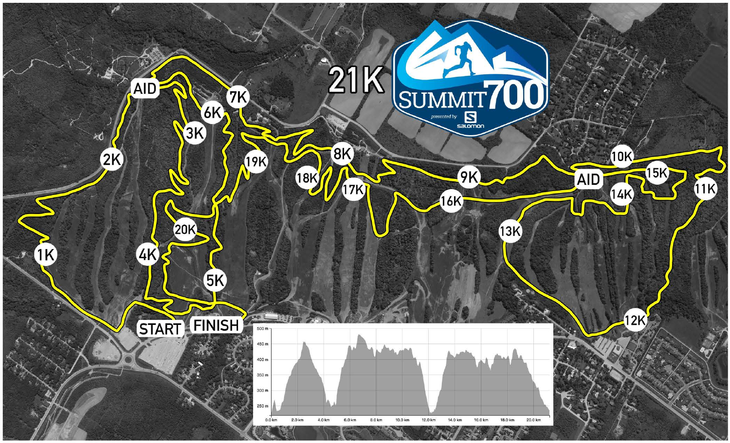